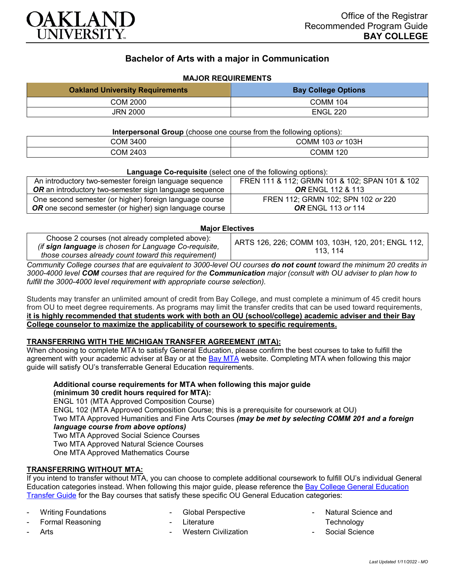

# **Bachelor of Arts with a major in Communication**

# **MAJOR REQUIREMENTS**

| <b>Oakland University Requirements</b> | <b>Bay College Options</b> |
|----------------------------------------|----------------------------|
| COM 2000                               | <b>COMM 104</b>            |
| <b>JRN 2000</b>                        | <b>ENGL 220</b>            |

#### **Interpersonal Group** (choose one course from the following options):

|          | ີ                           |
|----------|-----------------------------|
| COM 3400 | COMM<br>103H<br>103<br>. or |
| COM 2403 | 120<br>COMM                 |

#### **Language Co-requisite** (select one of the following options):

| An introductory two-semester foreign language sequence        | FREN 111 & 112; GRMN 101 & 102; SPAN 101 & 102 |
|---------------------------------------------------------------|------------------------------------------------|
| <b>OR</b> an introductory two-semester sign language sequence | <b>OR ENGL 112 &amp; 113</b>                   |
| One second semester (or higher) foreign language course       | FREN 112; GRMN 102; SPN 102 or 220             |
| OR one second semester (or higher) sign language course       | <b>OR</b> ENGL 113 or 114                      |

### **Major Electives**

| Choose 2 courses (not already completed above):        | ARTS 126, 226; COMM 103, 103H, 120, 201; ENGL 112, |
|--------------------------------------------------------|----------------------------------------------------|
| (if sign language is chosen for Language Co-requisite, | 113, 114                                           |
| those courses already count toward this requirement)   |                                                    |

*Community College courses that are equivalent to 3000-level OU courses do not count toward the minimum 20 credits in 3000-4000 level COM courses that are required for the Communication major (consult with OU adviser to plan how to fulfill the 3000-4000 level requirement with appropriate course selection).*

Students may transfer an unlimited amount of credit from Bay College, and must complete a minimum of 45 credit hours from OU to meet degree requirements. As programs may limit the transfer credits that can be used toward requirements, **it is highly recommended that students work with both an OU (school/college) academic adviser and their Bay College counselor to maximize the applicability of coursework to specific requirements.**

### **TRANSFERRING WITH THE MICHIGAN TRANSFER AGREEMENT (MTA):**

When choosing to complete MTA to satisfy General Education, please confirm the best courses to take to fulfill the agreement with your academic adviser at Bay or at the **[Bay MTA](https://www.baycollege.edu/admissions/transfer/transfer-agreements.php)** website. Completing MTA when following this major guide will satisfy OU's transferrable General Education requirements.

**Additional course requirements for MTA when following this major guide (minimum 30 credit hours required for MTA):** ENGL 101 (MTA Approved Composition Course) ENGL 102 (MTA Approved Composition Course; this is a prerequisite for coursework at OU) Two MTA Approved Humanities and Fine Arts Courses *(may be met by selecting COMM 201 and a foreign language course from above options)* Two MTA Approved Social Science Courses Two MTA Approved Natural Science Courses One MTA Approved Mathematics Course

# **TRANSFERRING WITHOUT MTA:**

If you intend to transfer without MTA, you can choose to complete additional coursework to fulfill OU's individual General Education categories instead. When following this major guide, please reference the [Bay College General Education](https://www.oakland.edu/Assets/Oakland/program-guides/bay-college/university-general-education-requirements/Bay%20Gen%20Ed.pdf)  [Transfer Guide](https://www.oakland.edu/Assets/Oakland/program-guides/bay-college/university-general-education-requirements/Bay%20Gen%20Ed.pdf) for the Bay courses that satisfy these specific OU General Education categories:

Writing Foundations

- Global Perspective

Formal Reasoning

- Literature Western Civilization
- **Technology**

Arts

Social Science

Natural Science and